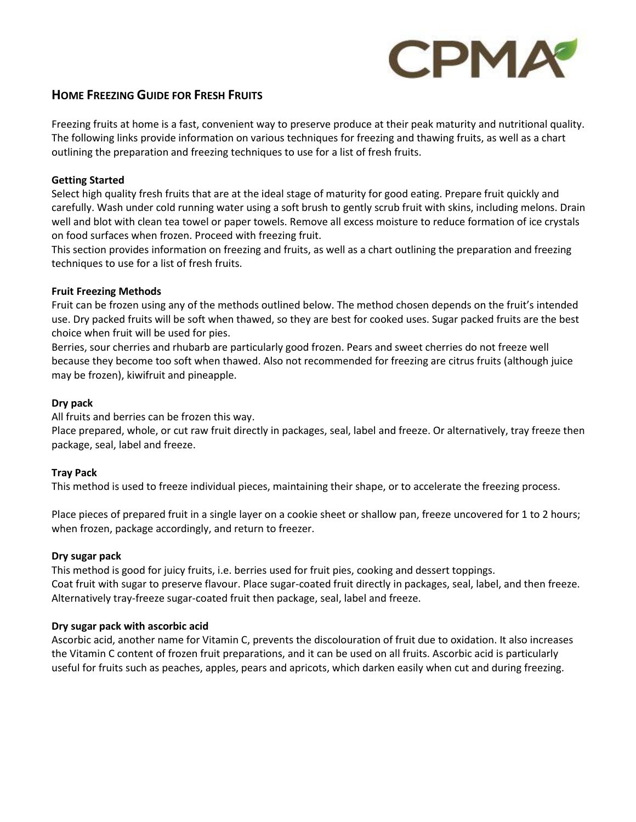

## **HOME FREEZING GUIDE FOR FRESH FRUITS**

Freezing fruits at home is a fast, convenient way to preserve produce at their peak maturity and nutritional quality. The following links provide information on various techniques for freezing and thawing fruits, as well as a chart outlining the preparation and freezing techniques to use for a list of fresh fruits.

#### **Getting Started**

Select high quality fresh fruits that are at the ideal stage of maturity for good eating. Prepare fruit quickly and carefully. Wash under cold running water using a soft brush to gently scrub fruit with skins, including melons. Drain well and blot with clean tea towel or paper towels. Remove all excess moisture to reduce formation of ice crystals on food surfaces when frozen. Proceed with freezing fruit.

This section provides information on freezing and fruits, as well as a chart outlining the preparation and freezing techniques to use for a list of fresh fruits.

## **Fruit Freezing Methods**

Fruit can be frozen using any of the methods outlined below. The method chosen depends on the fruit's intended use. Dry packed fruits will be soft when thawed, so they are best for cooked uses. Sugar packed fruits are the best choice when fruit will be used for pies.

Berries, sour cherries and rhubarb are particularly good frozen. Pears and sweet cherries do not freeze well because they become too soft when thawed. Also not recommended for freezing are citrus fruits (although juice may be frozen), kiwifruit and pineapple.

## **Dry pack**

All fruits and berries can be frozen this way.

Place prepared, whole, or cut raw fruit directly in packages, seal, label and freeze. Or alternatively, tray freeze then package, seal, label and freeze.

#### **Tray Pack**

This method is used to freeze individual pieces, maintaining their shape, or to accelerate the freezing process.

Place pieces of prepared fruit in a single layer on a cookie sheet or shallow pan, freeze uncovered for 1 to 2 hours; when frozen, package accordingly, and return to freezer.

#### **Dry sugar pack**

This method is good for juicy fruits, i.e. berries used for fruit pies, cooking and dessert toppings. Coat fruit with sugar to preserve flavour. Place sugar-coated fruit directly in packages, seal, label, and then freeze. Alternatively tray-freeze sugar-coated fruit then package, seal, label and freeze.

#### **Dry sugar pack with ascorbic acid**

Ascorbic acid, another name for Vitamin C, prevents the discolouration of fruit due to oxidation. It also increases the Vitamin C content of frozen fruit preparations, and it can be used on all fruits. Ascorbic acid is particularly useful for fruits such as peaches, apples, pears and apricots, which darken easily when cut and during freezing.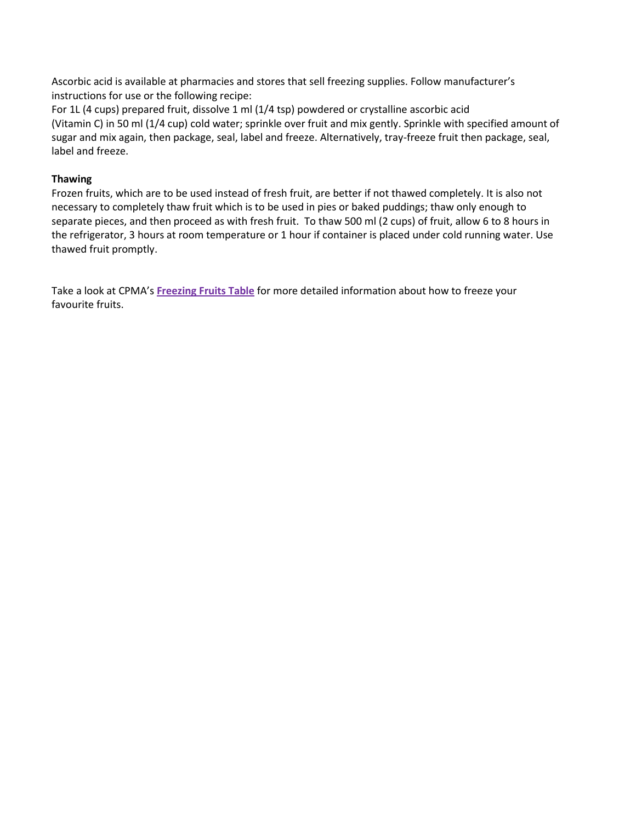Ascorbic acid is available at pharmacies and stores that sell freezing supplies. Follow manufacturer's instructions for use or the following recipe:

For 1L (4 cups) prepared fruit, dissolve 1 ml (1/4 tsp) powdered or crystalline ascorbic acid (Vitamin C) in 50 ml (1/4 cup) cold water; sprinkle over fruit and mix gently. Sprinkle with specified amount of sugar and mix again, then package, seal, label and freeze. Alternatively, tray-freeze fruit then package, seal, label and freeze.

## **Thawing**

Frozen fruits, which are to be used instead of fresh fruit, are better if not thawed completely. It is also not necessary to completely thaw fruit which is to be used in pies or baked puddings; thaw only enough to separate pieces, and then proceed as with fresh fruit. To thaw 500 ml (2 cups) of fruit, allow 6 to 8 hours in the refrigerator, 3 hours at room temperature or 1 hour if container is placed under cold running water. Use thawed fruit promptly.

Take a look at CPMA's **[Freezing](#page-2-0) Fruits Table** for more detailed information about how to freeze your favourite fruits.